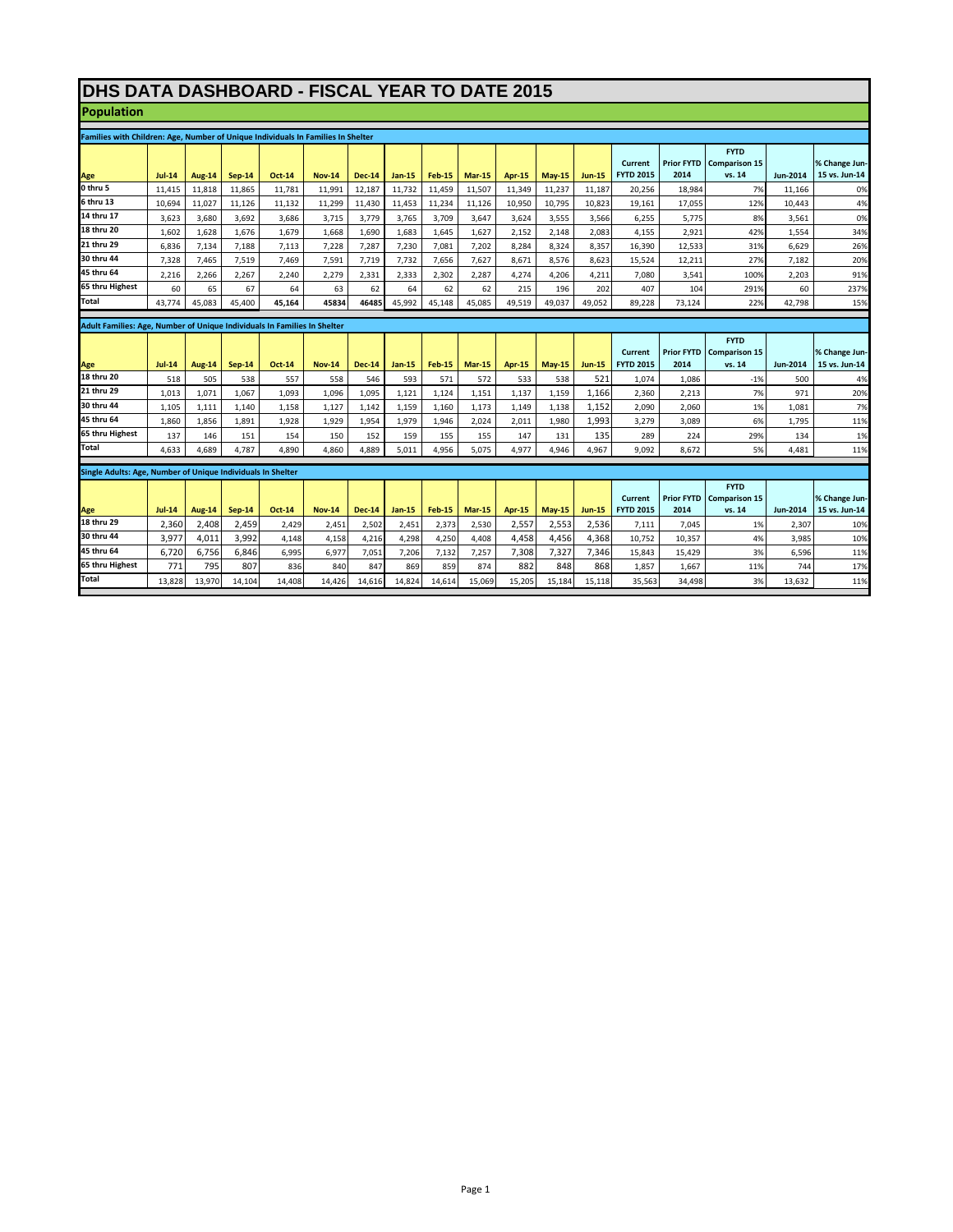## **DHS DATA DASHBOARD - FISCAL YEAR TO DATE 2015**

**Population**

| Families with Children: Age, Number of Unique Individuals In Families In Shelter |              |               |               |               |               |               |               |               |               |        |              |               |                             |                           |                                     |                 |                                |
|----------------------------------------------------------------------------------|--------------|---------------|---------------|---------------|---------------|---------------|---------------|---------------|---------------|--------|--------------|---------------|-----------------------------|---------------------------|-------------------------------------|-----------------|--------------------------------|
|                                                                                  |              |               |               |               |               |               |               |               |               |        |              |               |                             |                           |                                     |                 |                                |
|                                                                                  |              |               |               |               |               |               |               |               |               |        |              |               | Current                     | <b>Prior FYTD</b>         | <b>FYTD</b><br><b>Comparison 15</b> |                 | % Change Jun-                  |
| Age                                                                              | $Jul-14$     | Aug-14        | $Sep-14$      | <b>Oct-14</b> | <b>Nov-14</b> | <b>Dec-14</b> | $Jan-15$      | <b>Feb-15</b> | <b>Mar-15</b> | Apr-15 | $May-15$     | <b>Jun-15</b> | <b>FYTD 2015</b>            | 2014                      | vs. 14                              | <b>Jun-2014</b> | 15 vs. Jun-14                  |
| 0 thru 5                                                                         | 11.415       | 11,818        | 11.865        | 11.781        | 11.991        | 12,187        | 11.732        | 11.459        | 11.507        | 11.349 | 11,237       | 11,187        | 20,256                      | 18,984                    | 7%                                  | 11.166          | 0%                             |
| 6 thru 13                                                                        | 10.694       | 11.027        | 11.126        | 11.132        | 11.299        | 11.430        | 11.453        | 11.234        | 11.126        | 10.950 | 10.795       | 10.823        | 19.161                      | 17.055                    | 12%                                 | 10,443          | 4%                             |
| 14 thru 17                                                                       | 3,623        | 3,680         | 3,692         | 3.686         | 3,715         | 3,779         | 3,765         | 3,709         | 3.647         | 3,624  | 3,555        | 3,566         | 6,255                       | 5,775                     | 8%                                  | 3,561           | 0%                             |
| 18 thru 20                                                                       | 1,602        | 1,628         | 1,676         | 1,679         | 1,668         | 1,690         | 1,683         | 1,645         | 1,627         | 2,152  | 2,148        | 2,083         | 4,155                       | 2,921                     | 42%                                 | 1,554           | 34%                            |
| 21 thru 29                                                                       | 6,836        | 7,134         | 7,188         | 7,113         | 7,228         | 7,287         | 7,230         | 7,081         | 7,202         | 8,284  | 8,324        | 8,357         | 16,390                      | 12,533                    | 31%                                 | 6.629           | 26%                            |
| 30 thru 44                                                                       | 7,328        | 7.465         | 7,519         | 7.469         | 7,591         | 7,719         | 7,732         | 7,656         | 7,627         | 8,671  | 8.576        | 8,623         | 15,524                      | 12.211                    | 27%                                 | 7,182           | 20%                            |
| 45 thru 64                                                                       | 2,216        | 2,266         | 2,267         | 2,240         | 2,279         | 2,331         | 2,333         | 2,302         | 2,287         | 4,274  | 4,206        | 4,211         | 7,080                       | 3,541                     | 100%                                | 2,203           | 91%                            |
| 65 thru Highest                                                                  | 60           | 65            | 67            | 64            | 63            | 62            | 64            | 62            | 62            | 215    | 196          | 202           | 407                         | 104                       | 291%                                | 60              | 237%                           |
| Total                                                                            | 43,774       | 45,083        | 45,400        | 45,164        | 45834         | 46485         | 45,992        | 45,148        | 45,085        | 49,519 | 49,037       | 49,052        | 89,228                      | 73,124                    | 22%                                 | 42,798          | 15%                            |
|                                                                                  |              |               |               |               |               |               |               |               |               |        |              |               |                             |                           |                                     |                 |                                |
| <b>Adult Families: Age. Number of Unique Individuals In Families In Shelter</b>  |              |               |               |               |               |               |               |               |               |        |              |               |                             |                           |                                     |                 |                                |
|                                                                                  |              |               |               |               |               |               |               |               |               |        |              |               |                             |                           | <b>FYTD</b>                         |                 |                                |
|                                                                                  | $Jul-14$     |               |               | <b>Oct-14</b> | <b>Nov-14</b> | <b>Dec-14</b> |               | <b>Feb-15</b> |               | Apr-15 | $May-15$     | <b>Jun-15</b> | Current<br><b>FYTD 2015</b> | <b>Prior FYTD</b><br>2014 | <b>Comparison 15</b><br>vs. 14      | Jun-2014        | % Change Jun-<br>15 vs. Jun-14 |
| Age<br>18 thru 20                                                                |              | Aug-14<br>505 | $Sep-14$      | 557           |               | 546           | Jan-15<br>593 | 571           | <b>Mar-15</b> | 533    |              | 521           |                             |                           | $-1%$                               | 500             |                                |
| 21 thru 29                                                                       | 518<br>1.013 | 1,071         | 538<br>1.067  | 1.093         | 558<br>1.096  | 1.095         | 1.121         | 1.124         | 572<br>1.151  | 1.137  | 538<br>1.159 | 1.166         | 1,074<br>2.360              | 1,086<br>2.213            | 7%                                  | 971             | 4%<br>20%                      |
| 30 thru 44                                                                       | 1,105        | 1,111         | 1,140         | 1,158         | 1,127         | 1,142         | 1,159         | 1,160         | 1,173         | 1,149  | 1,138        | 1,152         | 2,090                       | 2,060                     | 1%                                  | 1,081           | 7%                             |
| 45 thru 64                                                                       | 1,860        | 1,856         | 1.891         | 1,928         | 1,929         | 1,954         | 1,979         | 1,946         | 2,024         | 2,011  | 1,980        | 1.993         | 3,279                       | 3.089                     | 6%                                  | 1,795           | 11%                            |
| 65 thru Highest                                                                  | 137          | 146           | 151           | 154           | 150           | 152           | 159           | 155           | 155           | 147    | 131          | 135           | 289                         | 224                       | 29%                                 | 134             | 1%                             |
| Total                                                                            | 4,633        | 4,689         | 4,787         | 4.890         | 4,860         | 4.889         | 5.011         | 4,956         | 5.075         | 4.977  | 4,946        | 4,967         | 9.092                       | 8.672                     | 5%                                  | 4,481           | 11%                            |
|                                                                                  |              |               |               |               |               |               |               |               |               |        |              |               |                             |                           |                                     |                 |                                |
| Single Adults: Age. Number of Unique Individuals In Shelter                      |              |               |               |               |               |               |               |               |               |        |              |               |                             |                           |                                     |                 |                                |
|                                                                                  |              |               |               |               |               |               |               |               |               |        |              |               |                             |                           | <b>FYTD</b>                         |                 |                                |
|                                                                                  |              |               |               |               |               |               |               |               |               |        |              |               | <b>Current</b>              | <b>Prior FYTD</b>         | <b>Comparison 15</b>                |                 | % Change Jun-                  |
| Age                                                                              | $Jul-14$     | Aug-14        | <b>Sep-14</b> | <b>Oct-14</b> | <b>Nov-14</b> | <b>Dec-14</b> | Jan-15        | <b>Feb-15</b> | <b>Mar-15</b> | Apr-15 | $May-15$     | <b>Jun-15</b> | <b>FYTD 2015</b>            | 2014                      | vs. 14                              | Jun-2014        | 15 vs. Jun-14                  |
| 18 thru 29                                                                       | 2,360        | 2,408         | 2,459         | 2,429         | 2,451         | 2,502         | 2,451         | 2,373         | 2,530         | 2,557  | 2,553        | 2,536         | 7,111                       | 7,045                     | 1%                                  | 2,307           | 10%                            |
| 30 thru 44                                                                       | 3,977        | 4,011         | 3,992         | 4,148         | 4,158         | 4,216         | 4,298         | 4,250         | 4,408         | 4,458  | 4,456        | 4,368         | 10,752                      | 10,357                    | 4%                                  | 3,985           | 10%                            |
| 45 thru 64                                                                       | 6,720        | 6,756         | 6,846         | 6,995         | 6,977         | 7,051         | 7,206         | 7,132         | 7,257         | 7,308  | 7,327        | 7,346         | 15,843                      | 15,429                    | 3%                                  | 6,596           | 11%                            |
| 65 thru Highest                                                                  | 771          | 795           | 807           | 836           | 840           | 847           | 869           | 859           | 874           | 882    | 848          | 868           | 1.857                       | 1.667                     | 11%                                 | 744             | 17%                            |
| Total                                                                            | 13.828       | 13.970        | 14.104        | 14.408        | 14.426        | 14.616        | 14,824        | 14.614        | 15.069        | 15.205 | 15.184       | 15.118        | 35,563                      | 34.498                    | 3%                                  | 13.632          | 11%                            |
|                                                                                  |              |               |               |               |               |               |               |               |               |        |              |               |                             |                           |                                     |                 |                                |